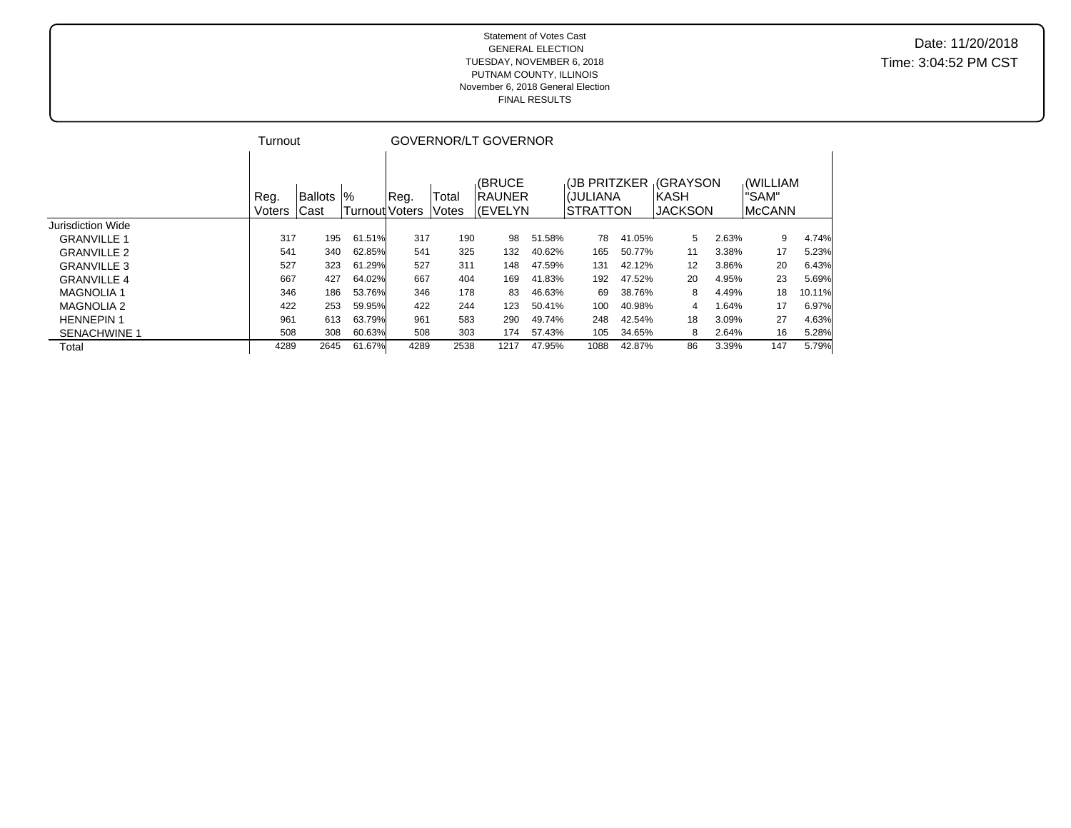#### Statement of Votes Cast GENERAL ELECTION TUESDAY, NOVEMBER 6, 2018 PUTNAM COUNTY, ILLINOIS November 6, 2018 General Election FINAL RESULTS

Date: 11/20/2018 Time: 3:04:52 PM CST

|                     | Turnout |                |                       | GOVERNOR/LT GOVERNOR |       |                |        |                    |        |                |       |          |        |
|---------------------|---------|----------------|-----------------------|----------------------|-------|----------------|--------|--------------------|--------|----------------|-------|----------|--------|
|                     |         |                |                       |                      |       |                |        |                    |        |                |       |          |        |
|                     |         |                |                       |                      |       | (BRUCE         |        | <b>UB PRITZKER</b> |        | <b>GRAYSON</b> |       | (WILLIAM |        |
|                     | Reg.    | <b>Ballots</b> | $\%$                  | Req.                 | Total | <b>IRAUNER</b> |        | I(JULIANA          |        | <b>IKASH</b>   |       | "SAM"    |        |
|                     | Voters  | Cast           | Turnoutl <sup>'</sup> | <b>Voters</b>        | Votes | l(EVELYN       |        | <b>STRATTON</b>    |        | <b>JACKSON</b> |       | IMcCANN  |        |
| Jurisdiction Wide   |         |                |                       |                      |       |                |        |                    |        |                |       |          |        |
| <b>GRANVILLE 1</b>  | 317     | 195            | 61.51%                | 317                  | 190   | 98             | 51.58% | 78                 | 41.05% | 5              | 2.63% | 9        | 4.74%  |
| <b>GRANVILLE 2</b>  | 541     | 340            | 62.85%                | 541                  | 325   | 132            | 40.62% | 165                | 50.77% | 11             | 3.38% | 17       | 5.23%  |
| <b>GRANVILLE 3</b>  | 527     | 323            | 61.29%                | 527                  | 311   | 148            | 47.59% | 131                | 42.12% | 12             | 3.86% | 20       | 6.43%  |
| <b>GRANVILLE 4</b>  | 667     | 427            | 64.02%                | 667                  | 404   | 169            | 41.83% | 192                | 47.52% | 20             | 4.95% | 23       | 5.69%  |
| <b>MAGNOLIA 1</b>   | 346     | 186            | 53.76%                | 346                  | 178   | 83             | 46.63% | 69                 | 38.76% | 8              | 4.49% | 18       | 10.11% |
| <b>MAGNOLIA 2</b>   | 422     | 253            | 59.95%                | 422                  | 244   | 123            | 50.41% | 100                | 40.98% | 4              | 1.64% | 17       | 6.97%  |
| <b>HENNEPIN1</b>    | 961     | 613            | 63.79%                | 961                  | 583   | 290            | 49.74% | 248                | 42.54% | 18             | 3.09% | 27       | 4.63%  |
| <b>SENACHWINE 1</b> | 508     | 308            | 60.63%                | 508                  | 303   | 174            | 57.43% | 105                | 34.65% | 8              | 2.64% | 16       | 5.28%  |
| Total               | 4289    | 2645           | 61.67%                | 4289                 | 2538  | 1217           | 47.95% | 1088               | 42.87% | 86             | 3.39% | 147      | 5.79%  |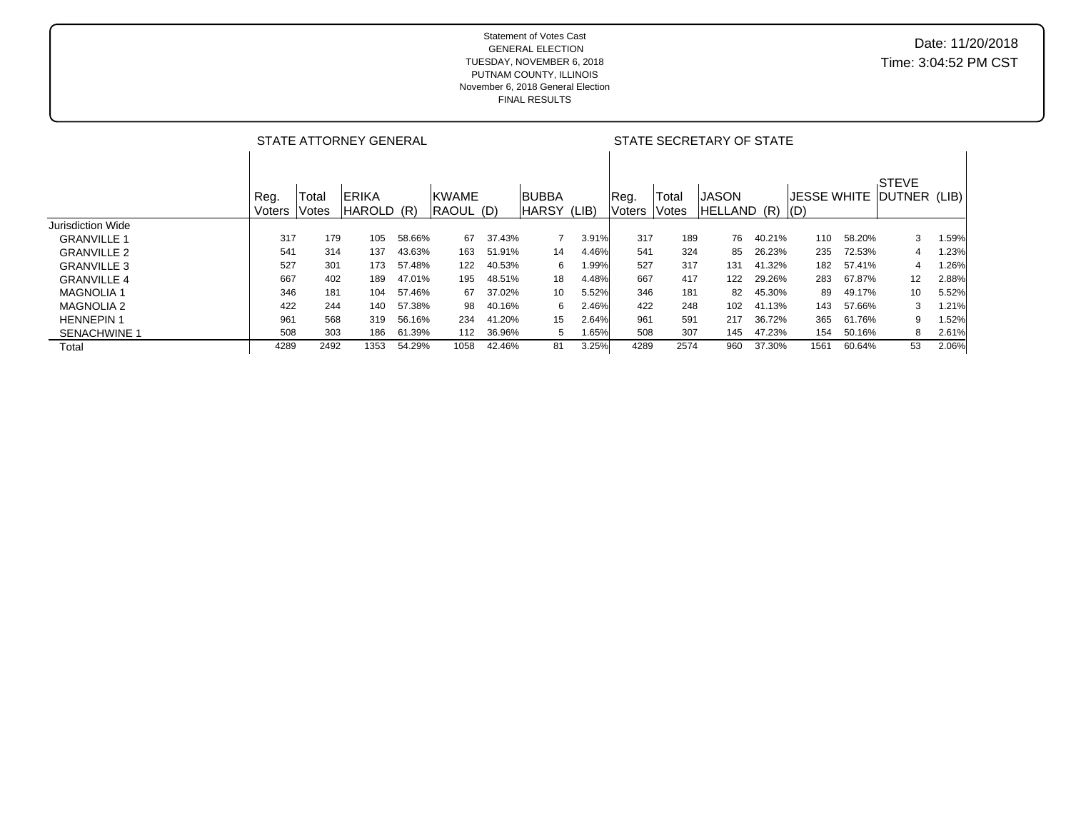|                     |                | STATE ATTORNEY GENERAL |                                |        |                            |        |                              |       |                | STATE SECRETARY OF STATE |                              |        |                                   |        |                       |       |  |
|---------------------|----------------|------------------------|--------------------------------|--------|----------------------------|--------|------------------------------|-------|----------------|--------------------------|------------------------------|--------|-----------------------------------|--------|-----------------------|-------|--|
|                     | Reg.<br>Voters | Total<br>Votes         | <b>IERIKA</b><br><b>HAROLD</b> | (R)    | <b>IKWAME</b><br>RAOUL (D) |        | <b>BUBBA</b><br><b>HARSY</b> | (LIB) | Reg.<br>Voters | Total<br>Votes           | IJASON<br><b>HELLAND (R)</b> |        | <b>JESSE WHITE</b><br>$\vert (D)$ |        | STEVE<br>DUTNER (LIB) |       |  |
| Jurisdiction Wide   |                |                        |                                |        |                            |        |                              |       |                |                          |                              |        |                                   |        |                       |       |  |
| <b>GRANVILLE 1</b>  | 317            | 179                    | 105                            | 58.66% | 67                         | 37.43% |                              | 3.91% | 317            | 189                      | 76                           | 40.21% | 110                               | 58.20% | 3                     | 1.59% |  |
| <b>GRANVILLE 2</b>  | 541            | 314                    | 137                            | 43.63% | 163                        | 51.91% | 14                           | 4.46% | 541            | 324                      | 85                           | 26.23% | 235                               | 72.53% | 4                     | 1.23% |  |
| <b>GRANVILLE 3</b>  | 527            | 301                    | 173                            | 57.48% | 122                        | 40.53% | 6                            | .99%  | 527            | 317                      | 131                          | 41.32% | 182                               | 57.41% | 4                     | 1.26% |  |
| <b>GRANVILLE 4</b>  | 667            | 402                    | 189                            | 47.01% | 195                        | 48.51% | 18                           | 4.48% | 667            | 417                      | 122                          | 29.26% | 283                               | 67.87% | 12                    | 2.88% |  |
| <b>MAGNOLIA1</b>    | 346            | 181                    | 104                            | 57.46% | 67                         | 37.02% | 10                           | 5.52% | 346            | 181                      | 82                           | 45.30% | 89                                | 49.17% | 10                    | 5.52% |  |
| <b>MAGNOLIA 2</b>   | 422            | 244                    | 140                            | 57.38% | 98                         | 40.16% | 6                            | 2.46% | 422            | 248                      | 102                          | 41.13% | 143                               | 57.66% | 3                     | 1.21% |  |
| <b>HENNEPIN1</b>    | 961            | 568                    | 319                            | 56.16% | 234                        | 41.20% | 15                           | 2.64% | 961            | 591                      | 217                          | 36.72% | 365                               | 61.76% | 9                     | 1.52% |  |
| <b>SENACHWINE 1</b> | 508            | 303                    | 186                            | 61.39% | 112                        | 36.96% | 5                            | 1.65% | 508            | 307                      | 145                          | 47.23% | 154                               | 50.16% | 8                     | 2.61% |  |
| Total               | 4289           | 2492                   | 1353                           | 54.29% | 1058                       | 42.46% | 81                           | 3.25% | 4289           | 2574                     | 960                          | 37.30% | 1561                              | 60.64% | 53                    | 2.06% |  |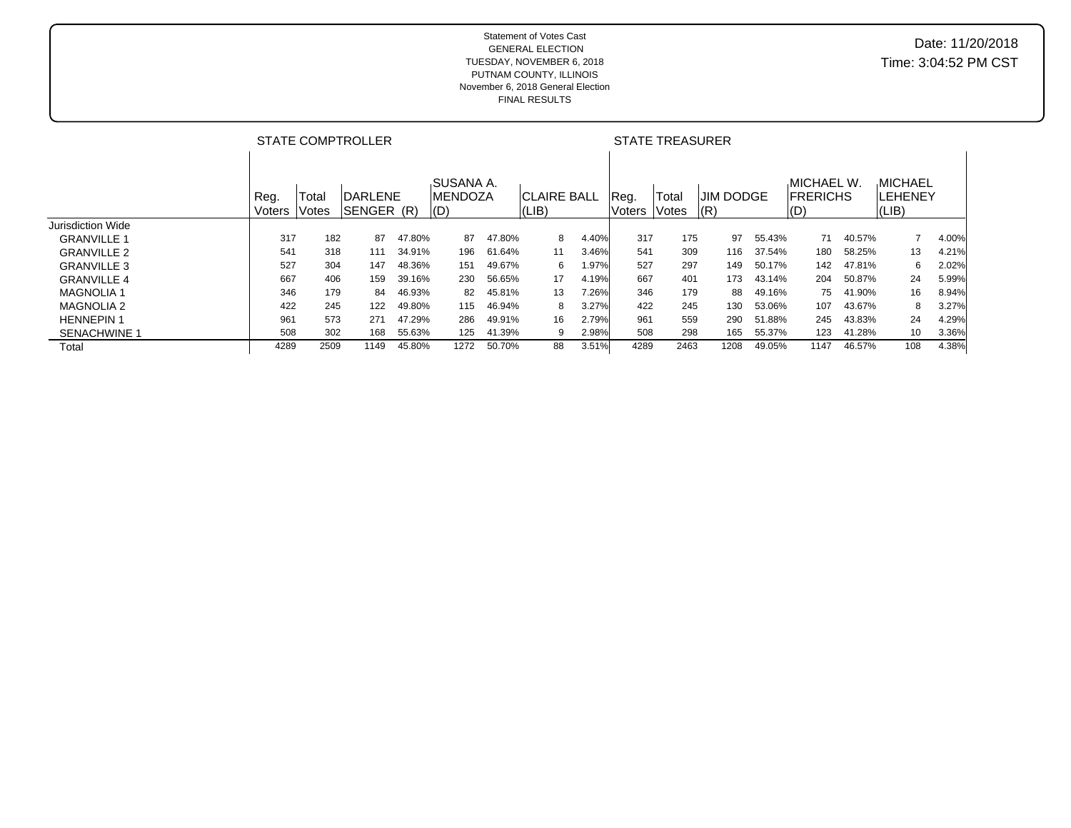|                     |                | <b>STATE COMPTROLLER</b> |                              |        |                                                           |        |                             |       |                | <b>STATE TREASURER</b> |                  |     |        |                                                     |        |                                             |       |
|---------------------|----------------|--------------------------|------------------------------|--------|-----------------------------------------------------------|--------|-----------------------------|-------|----------------|------------------------|------------------|-----|--------|-----------------------------------------------------|--------|---------------------------------------------|-------|
|                     | Reg.<br>Voters | Total<br>Votes           | <b>DARLENE</b><br>SENGER (R) |        | .SUSANA A.<br><b>IMENDOZA</b><br>$\mathsf{I}(\mathsf{D})$ |        | <b>CLAIRE BALL</b><br>(LIB) |       | Reg.<br>Voters | Total<br><b>Votes</b>  | IJIM DODGE<br> R |     |        | <b>MICHAEL W.</b><br><b>FRERICHS</b><br>$\vert$ (D) |        | <b>MICHAEL</b><br>ILEHENEY<br>$ LIB\rangle$ |       |
| Jurisdiction Wide   |                |                          |                              |        |                                                           |        |                             |       |                |                        |                  |     |        |                                                     |        |                                             |       |
| <b>GRANVILLE 1</b>  | 317            | 182                      | 87                           | 47.80% | 87                                                        | 47.80% | 8                           | 4.40% | 317            | 175                    |                  | 97  | 55.43% | 71                                                  | 40.57% |                                             | 4.00% |
| <b>GRANVILLE 2</b>  | 541            | 318                      | 111                          | 34.91% | 196                                                       | 61.64% | 11                          | 3.46% | 541            | 309                    |                  | 116 | 37.54% | 180                                                 | 58.25% | 13                                          | 4.21% |
| <b>GRANVILLE 3</b>  | 527            | 304                      | 147                          | 48.36% | 151                                                       | 49.67% | 6                           | l.97% | 527            | 297                    |                  | 149 | 50.17% | 142                                                 | 47.81% | 6                                           | 2.02% |
| <b>GRANVILLE 4</b>  | 667            | 406                      | 159                          | 39.16% | 230                                                       | 56.65% | 17                          | 4.19% | 667            | 401                    |                  | 173 | 43.14% | 204                                                 | 50.87% | 24                                          | 5.99% |
| <b>MAGNOLIA 1</b>   | 346            | 179                      | 84                           | 46.93% | 82                                                        | 45.81% | 13                          | 7.26% | 346            | 179                    |                  | 88  | 49.16% | 75                                                  | 41.90% | 16                                          | 8.94% |
| <b>MAGNOLIA 2</b>   | 422            | 245                      | 122                          | 49.80% | 115                                                       | 46.94% | 8                           | 3.27% | 422            | 245                    |                  | 130 | 53.06% | 107                                                 | 43.67% | 8                                           | 3.27% |
| <b>HENNEPIN1</b>    | 961            | 573                      | 271                          | 47.29% | 286                                                       | 49.91% | 16                          | 2.79% | 961            | 559                    |                  | 290 | 51.88% | 245                                                 | 43.83% | 24                                          | 4.29% |
| <b>SENACHWINE 1</b> | 508            | 302                      | 168                          | 55.63% | 125                                                       | 41.39% | 9                           | 2.98% | 508            | 298                    |                  | 165 | 55.37% | 123                                                 | 41.28% | 10                                          | 3.36% |
| Total               | 4289           | 2509                     | 1149                         | 45.80% | 1272                                                      | 50.70% | 88                          | 3.51% | 4289           | 2463                   | 1208             |     | 49.05% | 1147                                                | 46.57% | 108                                         | 4.38% |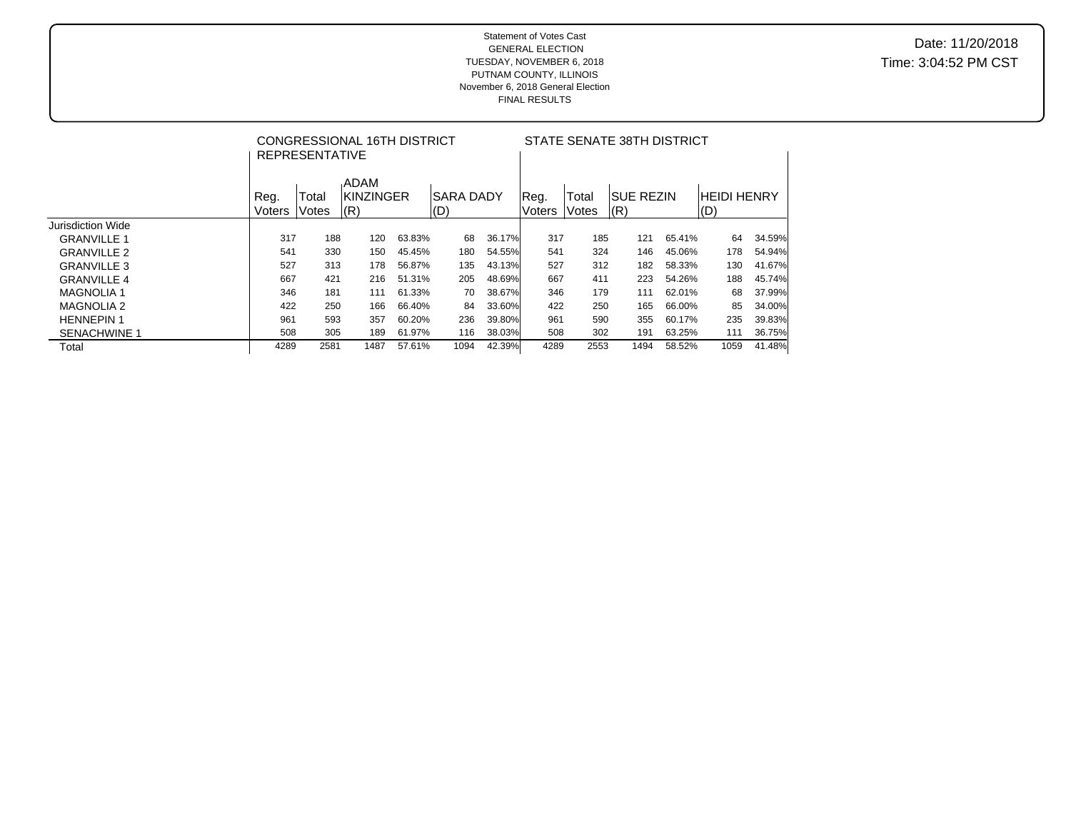|                     |                | <b>REPRESENTATIVE</b> | CONGRESSIONAL 16TH DISTRICT      |        |                         | STATE SENATE 38TH DISTRICT |                       |                |                           |        |                               |        |  |
|---------------------|----------------|-----------------------|----------------------------------|--------|-------------------------|----------------------------|-----------------------|----------------|---------------------------|--------|-------------------------------|--------|--|
|                     | Reg.<br>Voters | Total<br>Votes        | .ADAM<br><b>KINZINGER</b><br>(R) |        | <b>SARA DADY</b><br>(D) |                            | Reg.<br><b>Voters</b> | Total<br>Votes | <b>ISUE REZIN</b><br> (R) |        | <b>HEIDI HENRY</b><br>$ $ (D) |        |  |
| Jurisdiction Wide   |                |                       |                                  |        |                         |                            |                       |                |                           |        |                               |        |  |
| <b>GRANVILLE 1</b>  | 317            | 188                   | 120                              | 63.83% | 68                      | 36.17%                     | 317                   | 185            | 121                       | 65.41% | 64                            | 34.59% |  |
| <b>GRANVILLE 2</b>  | 541            | 330                   | 150                              | 45.45% | 180                     | 54.55%                     | 541                   | 324            | 146                       | 45.06% | 178                           | 54.94% |  |
| <b>GRANVILLE 3</b>  | 527            | 313                   | 178                              | 56.87% | 135                     | 43.13%                     | 527                   | 312            | 182                       | 58.33% | 130                           | 41.67% |  |
| <b>GRANVILLE 4</b>  | 667            | 421                   | 216                              | 51.31% | 205                     | 48.69%                     | 667                   | 411            | 223                       | 54.26% | 188                           | 45.74% |  |
| <b>MAGNOLIA 1</b>   | 346            | 181                   | 111                              | 61.33% | 70                      | 38.67%                     | 346                   | 179            | 111                       | 62.01% | 68                            | 37.99% |  |
| <b>MAGNOLIA 2</b>   | 422            | 250                   | 166                              | 66.40% | 84                      | 33.60%                     | 422                   | 250            | 165                       | 66.00% | 85                            | 34.00% |  |
| <b>HENNEPIN 1</b>   | 961            | 593                   | 357                              | 60.20% | 236                     | 39.80%                     | 961                   | 590            | 355                       | 60.17% | 235                           | 39.83% |  |
| <b>SENACHWINE 1</b> | 508            | 305                   | 189                              | 61.97% | 116                     | 38.03%                     | 508                   | 302            | 191                       | 63.25% | 111                           | 36.75% |  |
| Total               | 4289           | 2581                  | 1487                             | 57.61% | 1094                    | 42.39%                     | 4289                  | 2553           | 1494                      | 58.52% | 1059                          | 41.48% |  |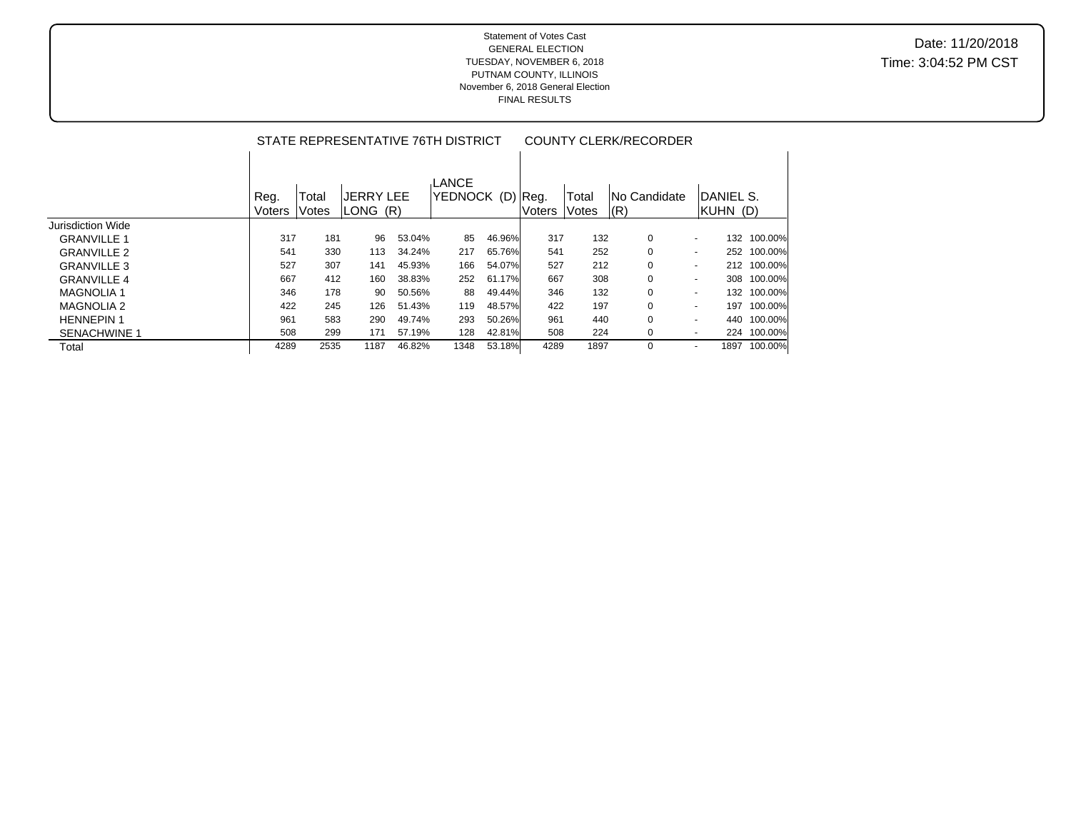|                     |                |                | STATE REPRESENTATIVE 76TH DISTRICT |        |                           |        | <b>COUNTY CLERK/RECORDER</b> |                |                      |                              |                 |  |  |
|---------------------|----------------|----------------|------------------------------------|--------|---------------------------|--------|------------------------------|----------------|----------------------|------------------------------|-----------------|--|--|
|                     | Reg.<br>Voters | Total<br>Votes | <b>JERRY LEE</b><br>LONG (R)       |        | LANCE<br>YEDNOCK (D) Reg. |        | Voters                       | Total<br>Votes | INo Candidate<br>(R) | <b>DANIEL S.</b><br>KUHN (D) |                 |  |  |
| Jurisdiction Wide   |                |                |                                    |        |                           |        |                              |                |                      |                              |                 |  |  |
| <b>GRANVILLE 1</b>  | 317            | 181            | 96                                 | 53.04% | 85                        | 46.96% | 317                          | 132            | 0                    | $\blacksquare$               | 100.00%<br>132  |  |  |
| <b>GRANVILLE 2</b>  | 541            | 330            | 113                                | 34.24% | 217                       | 65.76% | 541                          | 252            | 0                    | $\blacksquare$               | 100.00%<br>252  |  |  |
| <b>GRANVILLE 3</b>  | 527            | 307            | 141                                | 45.93% | 166                       | 54.07% | 527                          | 212            | $\Omega$             | $\sim$                       | 100.00%<br>212  |  |  |
| <b>GRANVILLE 4</b>  | 667            | 412            | 160                                | 38.83% | 252                       | 61.17% | 667                          | 308            | 0                    | $\sim$                       | 100.00%<br>308  |  |  |
| <b>MAGNOLIA1</b>    | 346            | 178            | 90                                 | 50.56% | 88                        | 49.44% | 346                          | 132            | 0                    | $\blacksquare$               | 100.00%<br>132  |  |  |
| <b>MAGNOLIA 2</b>   | 422            | 245            | 126                                | 51.43% | 119                       | 48.57% | 422                          | 197            | 0                    | $\blacksquare$               | 100.00%<br>197  |  |  |
| <b>HENNEPIN1</b>    | 961            | 583            | 290                                | 49.74% | 293                       | 50.26% | 961                          | 440            | 0                    | $\overline{\phantom{a}}$     | 440<br>100.00%  |  |  |
| <b>SENACHWINE 1</b> | 508            | 299            | 171                                | 57.19% | 128                       | 42.81% | 508                          | 224            | 0                    | ٠                            | 224 100.00%     |  |  |
| Total               | 4289           | 2535           | 1187                               | 46.82% | 1348                      | 53.18% | 4289                         | 1897           | 0                    |                              | 100.00%<br>1897 |  |  |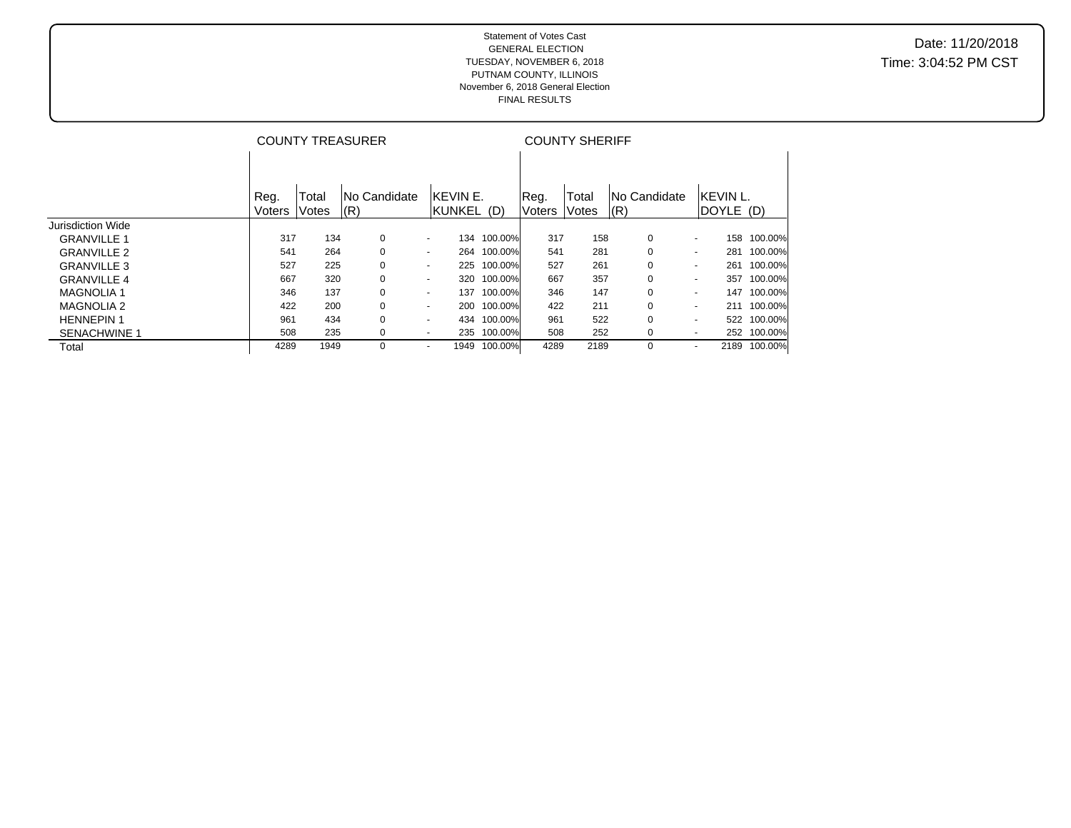#### Statement of Votes Cast GENERAL ELECTION TUESDAY, NOVEMBER 6, 2018 PUTNAM COUNTY, ILLINOIS November 6, 2018 General Election FINAL RESULTS

Date: 11/20/2018 Time: 3:04:52 PM CST

|                     |        |              | <b>COUNTY TREASURER</b> |                          |                 | <b>COUNTY SHERIFF</b> |       |                     |                          |                 |  |  |  |
|---------------------|--------|--------------|-------------------------|--------------------------|-----------------|-----------------------|-------|---------------------|--------------------------|-----------------|--|--|--|
|                     | Reg.   | Total        | <b>No Candidate</b>     | <b>IKEVIN E.</b>         |                 | Reg.                  | Total | <b>No Candidate</b> | <b>IKEVIN L.</b>         |                 |  |  |  |
|                     | Voters | <b>Votes</b> | $\vert$ (R)             |                          | KUNKEL (D)      | Voters                | Votes | (R)                 |                          | DOYLE (D)       |  |  |  |
| Jurisdiction Wide   |        |              |                         |                          |                 |                       |       |                     |                          |                 |  |  |  |
| <b>GRANVILLE 1</b>  | 317    | 134          | 0                       | $\overline{\phantom{a}}$ | 100.00%<br>134  | 317                   | 158   | 0                   | $\sim$                   | 100.00%<br>158  |  |  |  |
| <b>GRANVILLE 2</b>  | 541    | 264          | 0                       | $\overline{\phantom{0}}$ | 100.00%<br>264  | 541                   | 281   | $\Omega$            | $\sim$                   | 100.00%<br>281  |  |  |  |
| <b>GRANVILLE 3</b>  | 527    | 225          | 0                       | $\overline{\phantom{a}}$ | 100.00%<br>225  | 527                   | 261   | 0                   | $\sim$                   | 100.00%<br>261  |  |  |  |
| <b>GRANVILLE 4</b>  | 667    | 320          | 0                       | $\sim$                   | 100.00%<br>320  | 667                   | 357   | 0                   | $\sim$                   | 100.00%<br>357  |  |  |  |
| <b>MAGNOLIA 1</b>   | 346    | 137          | 0                       | $\overline{\phantom{a}}$ | 100.00%<br>137  | 346                   | 147   | 0                   | $\sim$                   | 100.00%<br>147  |  |  |  |
| <b>MAGNOLIA 2</b>   | 422    | 200          | 0                       | $\overline{\phantom{a}}$ | 100.00%<br>200  | 422                   | 211   | $\Omega$            | $\sim$                   | 100.00%<br>211  |  |  |  |
| <b>HENNEPIN1</b>    | 961    | 434          | 0                       | $\overline{\phantom{0}}$ | 100.00%<br>434  | 961                   | 522   | 0                   | $\overline{\phantom{a}}$ | 100.00%<br>522  |  |  |  |
| <b>SENACHWINE 1</b> | 508    | 235          | 0                       | $\overline{\phantom{a}}$ | 100.00%<br>235  | 508                   | 252   | 0                   | $\sim$                   | 252 100.00%     |  |  |  |
| Total               | 4289   | 1949         | $\Omega$                |                          | 100.00%<br>1949 | 4289                  | 2189  | 0                   | $\overline{\phantom{0}}$ | 100.00%<br>2189 |  |  |  |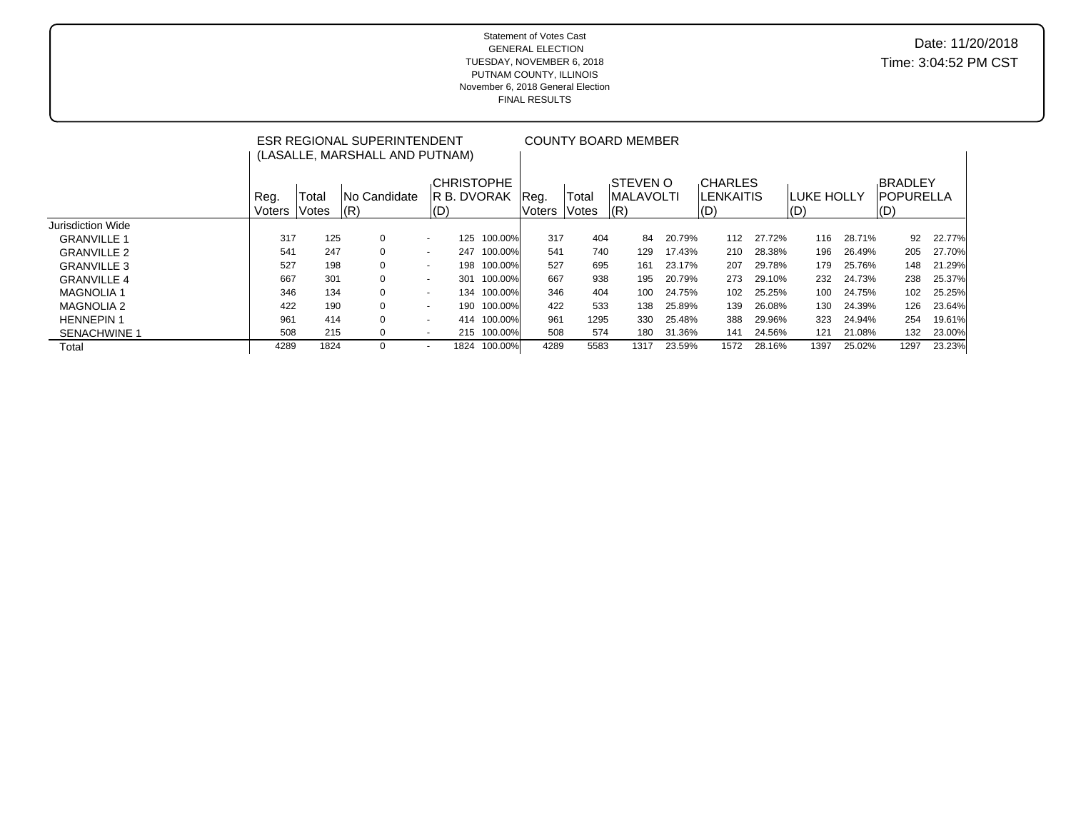#### Statement of Votes Cast GENERAL ELECTION TUESDAY, NOVEMBER 6, 2018 PUTNAM COUNTY, ILLINOIS November 6, 2018 General Election FINAL RESULTS

# Date: 11/20/2018 Time: 3:04:52 PM CST

|                     | ESR REGIONAL SUPERINTENDENT<br>(LASALLE, MARSHALL AND PUTNAM) |                |                            |                          |      | <b>COUNTY BOARD MEMBER</b>        |                |                |                                            |    |        |                                           |        |                                                |        |                                            |              |
|---------------------|---------------------------------------------------------------|----------------|----------------------------|--------------------------|------|-----------------------------------|----------------|----------------|--------------------------------------------|----|--------|-------------------------------------------|--------|------------------------------------------------|--------|--------------------------------------------|--------------|
|                     | Reg.<br>Voters                                                | Total<br>Votes | <b>No Candidate</b><br>(R) | (D)                      |      | <b>CHRISTOPHE</b><br>IR B. DVORAK | Req.<br>Voters | Total<br>Votes | <b>STEVEN O</b><br><b>IMALAVOLTI</b><br> R |    |        | <b>CHARLES</b><br><b>LENKAITIS</b><br>(D) |        | <b>ILUKE HOLLY</b><br>$\mathsf{I}(\mathsf{D})$ |        | <b>BRADLEY</b><br><b>IPOPURELLA</b><br>(D) |              |
| Jurisdiction Wide   |                                                               |                |                            |                          |      |                                   |                |                |                                            |    |        |                                           |        |                                                |        |                                            |              |
| <b>GRANVILLE 1</b>  | 317                                                           | 125            | $\Omega$                   | $\overline{\phantom{a}}$ | 125  | 100.00%                           | 317            | 404            |                                            | 84 | 20.79% | 112                                       | 27.72% | 116                                            | 28.71% |                                            | 22.77%<br>92 |
| <b>GRANVILLE 2</b>  | 541                                                           | 247            | $\Omega$                   | $\overline{\phantom{a}}$ | 247  | 100.00%                           | 541            | 740            | 129                                        |    | 17.43% | 210                                       | 28.38% | 196                                            | 26.49% | 205                                        | 27.70%       |
| <b>GRANVILLE 3</b>  | 527                                                           | 198            | $\Omega$                   | $\overline{\phantom{a}}$ | 198  | 100.00%                           | 527            | 695            | 161                                        |    | 23.17% | 207                                       | 29.78% | 179                                            | 25.76% | 148                                        | 21.29%       |
| <b>GRANVILLE 4</b>  | 667                                                           | 301            | $\Omega$                   | $\sim$                   | 301  | 100.00%                           | 667            | 938            | 195                                        |    | 20.79% | 273                                       | 29.10% | 232                                            | 24.73% | 238                                        | 25.37%       |
| <b>MAGNOLIA1</b>    | 346                                                           | 134            | $\Omega$                   | $\sim$                   | 134  | 100.00%                           | 346            | 404            | 100                                        |    | 24.75% | 102                                       | 25.25% | 100                                            | 24.75% | 102                                        | 25.25%       |
| <b>MAGNOLIA 2</b>   | 422                                                           | 190            | $\Omega$                   |                          | 190  | 100.00%                           | 422            | 533            | 138                                        |    | 25.89% | 139                                       | 26.08% | 130                                            | 24.39% | 126                                        | 23.64%       |
| <b>HENNEPIN 1</b>   | 961                                                           | 414            | $\Omega$                   | $\sim$                   | 414  | 100.00%                           | 961            | 1295           | 330                                        |    | 25.48% | 388                                       | 29.96% | 323                                            | 24.94% | 254                                        | 19.61%       |
| <b>SENACHWINE 1</b> | 508                                                           | 215            | $\Omega$                   | $\sim$                   |      | 215 100.00%                       | 508            | 574            | 180                                        |    | 31.36% | 141                                       | 24.56% | 121                                            | 21.08% | 132                                        | 23.00%       |
| Total               | 4289                                                          | 1824           | $\Omega$                   |                          | 1824 | 100.00%                           | 4289           | 5583           | 1317                                       |    | 23.59% | 1572                                      | 28.16% | 1397                                           | 25.02% | 1297                                       | 23.23%       |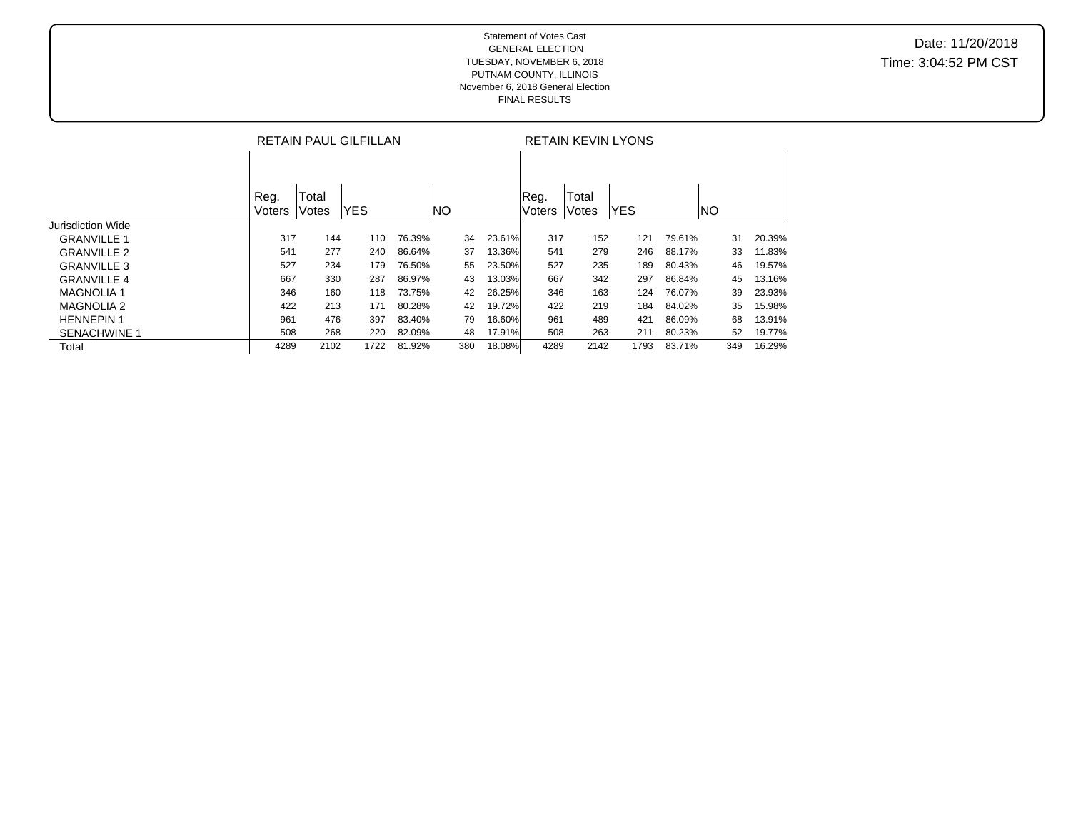|                     | <b>RETAIN PAUL GILFILLAN</b> |                |            |        |     |     |        | <b>RETAIN KEVIN LYONS</b> |                |            |        |     |    |        |
|---------------------|------------------------------|----------------|------------|--------|-----|-----|--------|---------------------------|----------------|------------|--------|-----|----|--------|
|                     |                              |                |            |        |     |     |        |                           |                |            |        |     |    |        |
|                     | Reg.<br>Voters               | Total<br>Votes | <b>YES</b> |        | NO) |     |        | Reg.<br><b>Voters</b>     | Total<br>Votes | <b>YES</b> |        | NO  |    |        |
| Jurisdiction Wide   |                              |                |            |        |     |     |        |                           |                |            |        |     |    |        |
| <b>GRANVILLE 1</b>  | 317                          | 144            | 110        | 76.39% |     | 34  | 23.61% | 317                       | 152            | 121        | 79.61% |     | 31 | 20.39% |
| <b>GRANVILLE 2</b>  | 541                          | 277            | 240        | 86.64% |     | 37  | 13.36% | 541                       | 279            | 246        | 88.17% |     | 33 | 11.83% |
| <b>GRANVILLE 3</b>  | 527                          | 234            | 179        | 76.50% |     | 55  | 23.50% | 527                       | 235            | 189        | 80.43% |     | 46 | 19.57% |
| <b>GRANVILLE 4</b>  | 667                          | 330            | 287        | 86.97% |     | 43  | 13.03% | 667                       | 342            | 297        | 86.84% |     | 45 | 13.16% |
| <b>MAGNOLIA1</b>    | 346                          | 160            | 118        | 73.75% |     | 42  | 26.25% | 346                       | 163            | 124        | 76.07% |     | 39 | 23.93% |
| <b>MAGNOLIA 2</b>   | 422                          | 213            | 171        | 80.28% |     | 42  | 19.72% | 422                       | 219            | 184        | 84.02% |     | 35 | 15.98% |
| <b>HENNEPIN1</b>    | 961                          | 476            | 397        | 83.40% |     | 79  | 16.60% | 961                       | 489            | 421        | 86.09% |     | 68 | 13.91% |
| <b>SENACHWINE 1</b> | 508                          | 268            | 220        | 82.09% |     | 48  | 17.91% | 508                       | 263            | 211        | 80.23% |     | 52 | 19.77% |
| Total               | 4289                         | 2102           | 1722       | 81.92% |     | 380 | 18.08% | 4289                      | 2142           | 1793       | 83.71% | 349 |    | 16.29% |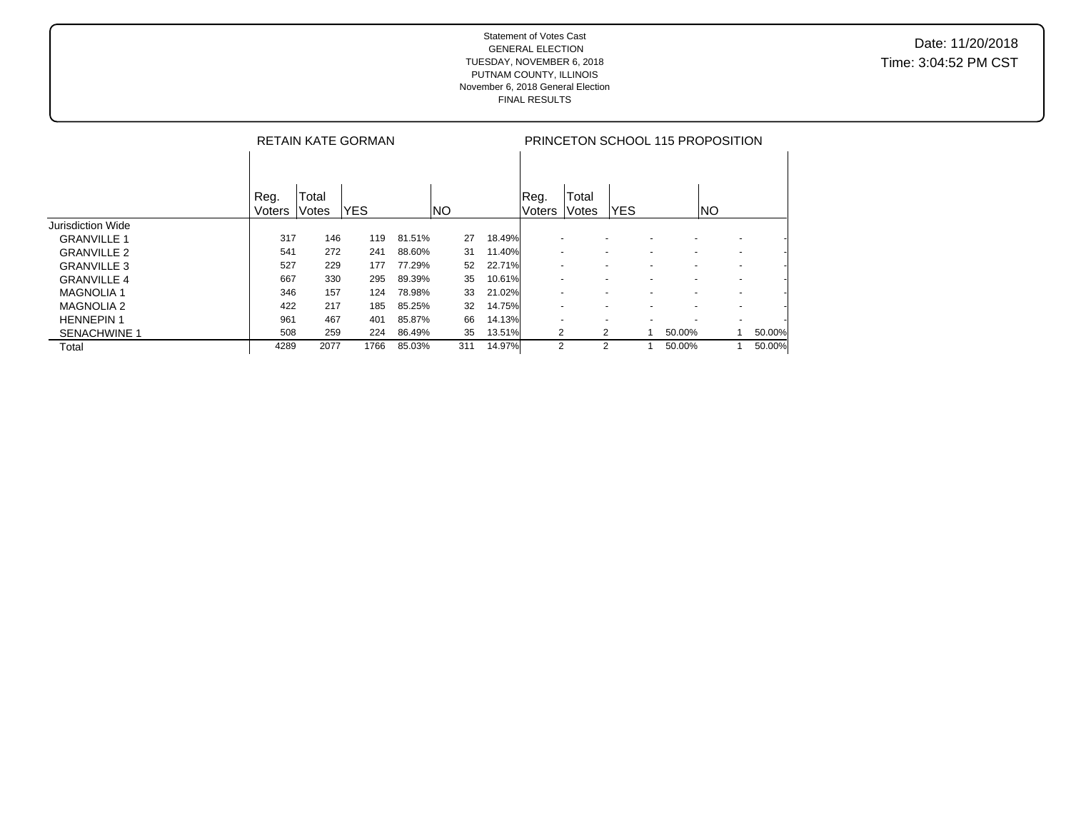|                     | <b>RETAIN KATE GORMAN</b> |              |            |        |     |              |                | PRINCETON SCHOOL 115 PROPOSITION |                          |   |                          |                          |        |  |  |
|---------------------|---------------------------|--------------|------------|--------|-----|--------------|----------------|----------------------------------|--------------------------|---|--------------------------|--------------------------|--------|--|--|
|                     |                           |              |            |        |     |              |                |                                  |                          |   |                          |                          |        |  |  |
|                     |                           | <b>Total</b> |            |        |     |              |                |                                  |                          |   |                          |                          |        |  |  |
|                     | Reg.<br>Voters            | lVotes       | <b>YES</b> |        | INO |              | Reg.<br>Voters | Total<br>Votes                   | <b>YES</b>               |   |                          | INO                      |        |  |  |
| Jurisdiction Wide   |                           |              |            |        |     |              |                |                                  |                          |   |                          |                          |        |  |  |
| <b>GRANVILLE 1</b>  | 317                       | 146          | 119        | 81.51% |     | 18.49%<br>27 |                |                                  |                          |   |                          |                          |        |  |  |
| <b>GRANVILLE 2</b>  | 541                       | 272          | 241        | 88.60% | 31  | 11.40%       |                |                                  | $\overline{\phantom{a}}$ |   |                          | $\overline{\phantom{0}}$ |        |  |  |
| <b>GRANVILLE 3</b>  | 527                       | 229          | 177        | 77.29% |     | 52<br>22.71% |                |                                  | ٠                        |   |                          | $\sim$                   |        |  |  |
| <b>GRANVILLE 4</b>  | 667                       | 330          | 295        | 89.39% |     | 35<br>10.61% |                |                                  | ٠                        |   | $\overline{\phantom{0}}$ |                          |        |  |  |
| <b>MAGNOLIA1</b>    | 346                       | 157          | 124        | 78.98% |     | 33<br>21.02% |                |                                  | $\overline{\phantom{a}}$ |   | $\overline{\phantom{0}}$ |                          |        |  |  |
| <b>MAGNOLIA 2</b>   | 422                       | 217          | 185        | 85.25% |     | 14.75%<br>32 |                |                                  | ٠                        |   | $\overline{\phantom{0}}$ |                          |        |  |  |
| <b>HENNEPIN1</b>    | 961                       | 467          | 401        | 85.87% |     | 66<br>14.13% |                |                                  | $\overline{\phantom{a}}$ |   |                          | $\sim$                   |        |  |  |
| <b>SENACHWINE 1</b> | 508                       | 259          | 224        | 86.49% |     | 13.51%<br>35 |                | 2                                | 2                        | 1 | 50.00%                   |                          | 50.00% |  |  |
| Total               | 4289                      | 2077         | 1766       | 85.03% | 311 | 14.97%       |                | 2                                | 2                        |   | 50.00%                   |                          | 50.00% |  |  |